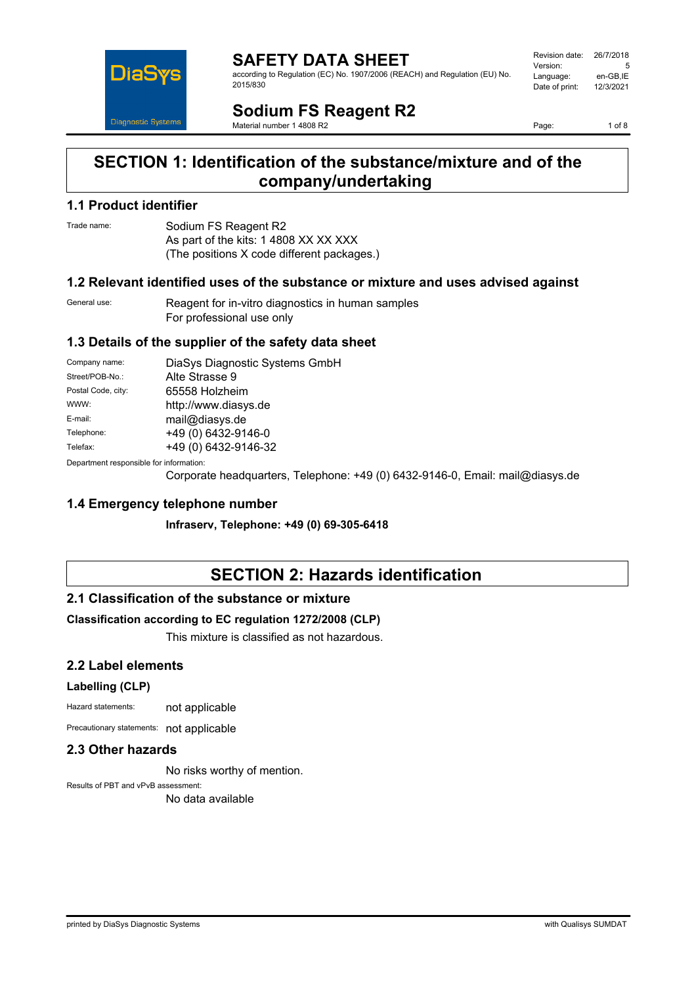

**SAFETY DATA SHEET** according to Regulation (EC) No. 1907/2006 (REACH) and Regulation (EU) No. 2015/830

| Revision date: | 26/7/2018 |
|----------------|-----------|
| Version:       | 5         |
| Language:      | en-GB,IE  |
| Date of print: | 12/3/2021 |
|                |           |

**Sodium FS Reagent R2** Material number 1 4808 R2

Page: 1 of 8

## **SECTION 1: Identification of the substance/mixture and of the company/undertaking**

### **1.1 Product identifier**

Trade name: Sodium FS Reagent R2 As part of the kits: 1 4808 XX XX XXX (The positions X code different packages.)

### **1.2 Relevant identified uses of the substance or mixture and uses advised against**

General use: Reagent for in-vitro diagnostics in human samples For professional use only

### **1.3 Details of the supplier of the safety data sheet**

| Company name:                            | DiaSys Diagnostic Systems GmbH |
|------------------------------------------|--------------------------------|
| Street/POB-No.:                          | Alte Strasse 9                 |
| Postal Code, city:                       | 65558 Holzheim                 |
| WWW:                                     | http://www.diasys.de           |
| E-mail:                                  | mail@diasys.de                 |
| Telephone:                               | +49 (0) 6432-9146-0            |
| Telefax:                                 | +49 (0) 6432-9146-32           |
| Denemberek vernemaikte fan informaatien: |                                |

Department responsible for information:

Corporate headquarters, Telephone: +49 (0) 6432-9146-0, Email: mail@diasys.de

### **1.4 Emergency telephone number**

**Infraserv, Telephone: +49 (0) 69-305-6418**

# **SECTION 2: Hazards identification**

### **2.1 Classification of the substance or mixture**

### **Classification according to EC regulation 1272/2008 (CLP)**

This mixture is classified as not hazardous.

### **2.2 Label elements**

### **Labelling (CLP)**

Hazard statements: not applicable

Precautionary statements: not applicable

### **2.3 Other hazards**

No risks worthy of mention.

Results of PBT and vPvB assessment: No data available

printed by DiaSys Diagnostic Systems with Qualisys SUMDAT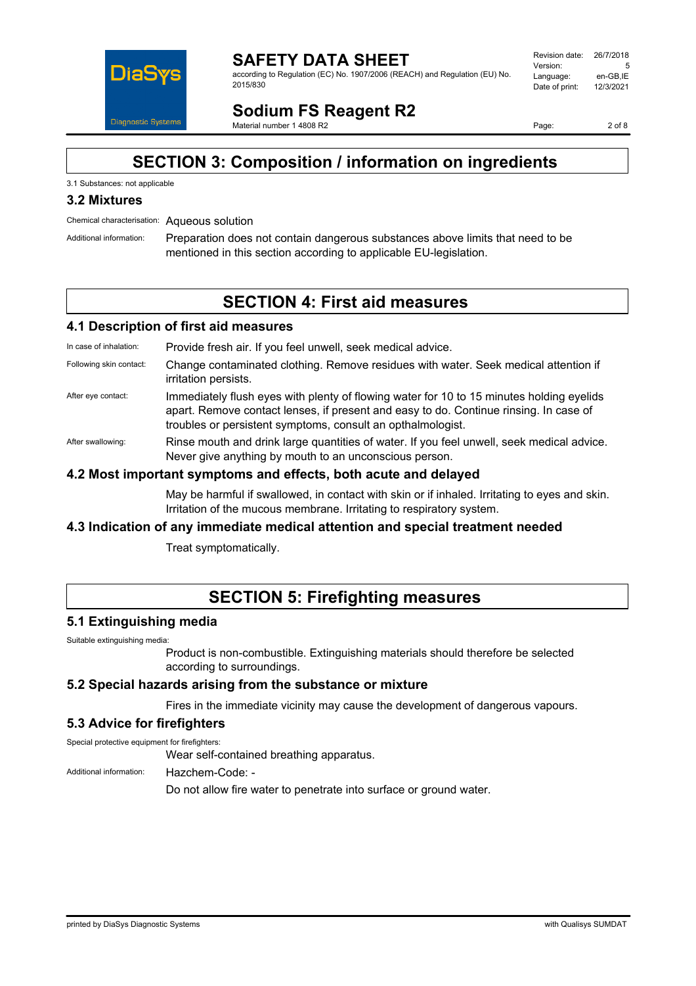

**SAFETY DATA SHEET** according to Regulation (EC) No. 1907/2006 (REACH) and Regulation (EU) No. 2015/830

| Revision date: | 26/7/2018 |
|----------------|-----------|
| Version:       | 5         |
| Language:      | en-GB.IE  |
| Date of print: | 12/3/2021 |
|                |           |

**Sodium FS Reagent R2** Material number 1 4808 R2

Page: 2 of 8

# **SECTION 3: Composition / information on ingredients**

### 3.1 Substances: not applicable

### **3.2 Mixtures**

Chemical characterisation: Aqueous solution

Additional information: Preparation does not contain dangerous substances above limits that need to be mentioned in this section according to applicable EU-legislation.

## **SECTION 4: First aid measures**

### **4.1 Description of first aid measures**

In case of inhalation: Provide fresh air. If you feel unwell, seek medical advice.

- Following skin contact: Change contaminated clothing. Remove residues with water. Seek medical attention if irritation persists.
- After eye contact: Immediately flush eyes with plenty of flowing water for 10 to 15 minutes holding eyelids apart. Remove contact lenses, if present and easy to do. Continue rinsing. In case of troubles or persistent symptoms, consult an opthalmologist.
- After swallowing: Rinse mouth and drink large quantities of water. If you feel unwell, seek medical advice. Never give anything by mouth to an unconscious person.

### **4.2 Most important symptoms and effects, both acute and delayed**

May be harmful if swallowed, in contact with skin or if inhaled. Irritating to eyes and skin. Irritation of the mucous membrane. Irritating to respiratory system.

### **4.3 Indication of any immediate medical attention and special treatment needed**

Treat symptomatically.

## **SECTION 5: Firefighting measures**

### **5.1 Extinguishing media**

Suitable extinguishing media:

Product is non-combustible. Extinguishing materials should therefore be selected according to surroundings.

### **5.2 Special hazards arising from the substance or mixture**

Fires in the immediate vicinity may cause the development of dangerous vapours.

### **5.3 Advice for firefighters**

Special protective equipment for firefighters:

Wear self-contained breathing apparatus.

Additional information: Hazchem-Code: -

Do not allow fire water to penetrate into surface or ground water.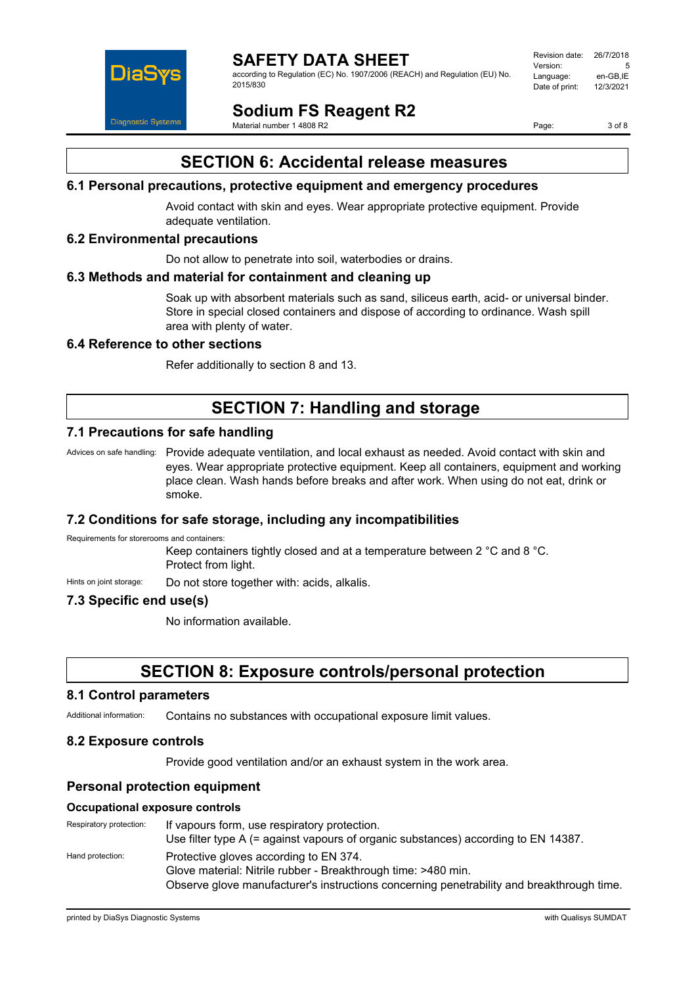

according to Regulation (EC) No. 1907/2006 (REACH) and Regulation (EU) No. 2015/830

| Revision date: | 26/7/2018 |
|----------------|-----------|
| Version:       | 5         |
| Language:      | en-GB.IE  |
| Date of print: | 12/3/2021 |
|                |           |

**Sodium FS Reagent R2** Material number 1 4808 R2

Page: 3 of 8

# **SECTION 6: Accidental release measures**

### **6.1 Personal precautions, protective equipment and emergency procedures**

Avoid contact with skin and eyes. Wear appropriate protective equipment. Provide adequate ventilation.

### **6.2 Environmental precautions**

Do not allow to penetrate into soil, waterbodies or drains.

### **6.3 Methods and material for containment and cleaning up**

Soak up with absorbent materials such as sand, siliceus earth, acid- or universal binder. Store in special closed containers and dispose of according to ordinance. Wash spill area with plenty of water.

### **6.4 Reference to other sections**

Refer additionally to section 8 and 13.

# **SECTION 7: Handling and storage**

### **7.1 Precautions for safe handling**

Advices on safe handling: Provide adequate ventilation, and local exhaust as needed. Avoid contact with skin and eyes. Wear appropriate protective equipment. Keep all containers, equipment and working place clean. Wash hands before breaks and after work. When using do not eat, drink or smoke.

### **7.2 Conditions for safe storage, including any incompatibilities**

Requirements for storerooms and containers:

Keep containers tightly closed and at a temperature between 2 °C and 8 °C. Protect from light.

Hints on joint storage: Do not store together with: acids, alkalis.

### **7.3 Specific end use(s)**

No information available.

## **SECTION 8: Exposure controls/personal protection**

#### **8.1 Control parameters**

Additional information: Contains no substances with occupational exposure limit values.

### **8.2 Exposure controls**

Provide good ventilation and/or an exhaust system in the work area.

### **Personal protection equipment**

#### **Occupational exposure controls**

Respiratory protection: If vapours form, use respiratory protection. Use filter type A (= against vapours of organic substances) according to EN 14387. Hand protection: Protective gloves according to EN 374. Glove material: Nitrile rubber - Breakthrough time: >480 min. Observe glove manufacturer's instructions concerning penetrability and breakthrough time.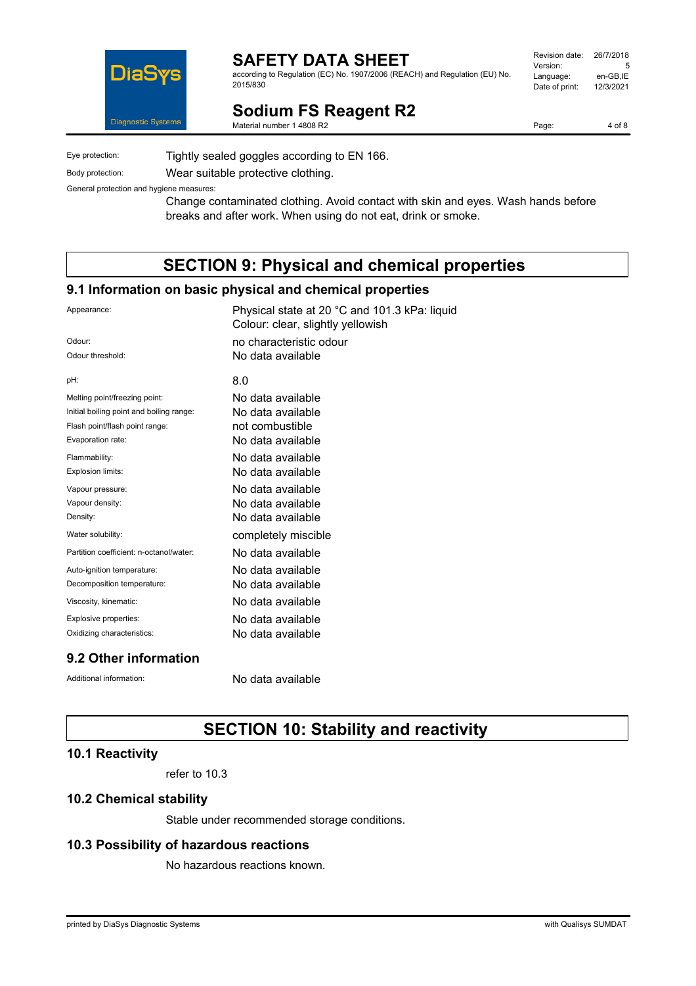

according to Regulation (EC) No. 1907/2006 (REACH) and Regulation (EU) No. 2015/830

| Revision date: | 26/7/2018 |
|----------------|-----------|
| Version:       | 5         |
| Language:      | en-GB.IE  |
| Date of print: | 12/3/2021 |
|                |           |

**Sodium FS Reagent R2**

Material number 1 4808 R2

Eye protection: Tightly sealed goggles according to EN 166.

Body protection: Wear suitable protective clothing.

General protection and hygiene measures:

Change contaminated clothing. Avoid contact with skin and eyes. Wash hands before breaks and after work. When using do not eat, drink or smoke.

# **SECTION 9: Physical and chemical properties**

### **9.1 Information on basic physical and chemical properties**

| Appearance:                              | Physical state at 20 °C and 101.3 kPa: liquid<br>Colour: clear, slightly yellowish |
|------------------------------------------|------------------------------------------------------------------------------------|
| Odour:                                   | no characteristic odour                                                            |
| Odour threshold:                         | No data available                                                                  |
| pH:                                      | 8.0                                                                                |
| Melting point/freezing point:            | No data available                                                                  |
| Initial boiling point and boiling range: | No data available                                                                  |
| Flash point/flash point range:           | not combustible                                                                    |
| Evaporation rate:                        | No data available                                                                  |
| Flammability:                            | No data available                                                                  |
| Explosion limits:                        | No data available                                                                  |
| Vapour pressure:                         | No data available                                                                  |
| Vapour density:                          | No data available                                                                  |
| Density:                                 | No data available                                                                  |
| Water solubility:                        | completely miscible                                                                |
| Partition coefficient: n-octanol/water:  | No data available                                                                  |
| Auto-ignition temperature:               | No data available                                                                  |
| Decomposition temperature:               | No data available                                                                  |
| Viscosity, kinematic:                    | No data available                                                                  |
| Explosive properties:                    | No data available                                                                  |
| Oxidizing characteristics:               | No data available                                                                  |
| 9.2 Other information                    |                                                                                    |

Additional information: No data available

# **SECTION 10: Stability and reactivity**

### **10.1 Reactivity**

refer to 10.3

### **10.2 Chemical stability**

Stable under recommended storage conditions.

### **10.3 Possibility of hazardous reactions**

No hazardous reactions known.

Page: 4 of 8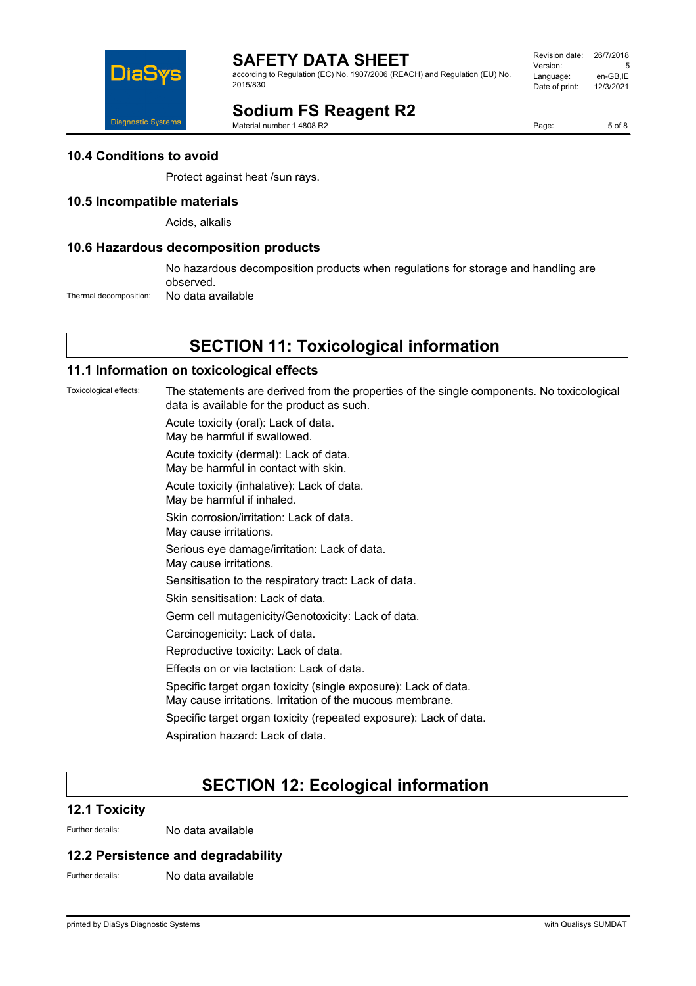

according to Regulation (EC) No. 1907/2006 (REACH) and Regulation (EU) No. 2015/830

| Revision date: | 26/7/2018 |
|----------------|-----------|
| Version:       | 5         |
| Language:      | en-GB.IE  |
| Date of print: | 12/3/2021 |
|                |           |

# **Sodium FS Reagent R2**

Material number 1 4808 R2

Page: 5 of 8

### **10.4 Conditions to avoid**

Protect against heat /sun rays.

### **10.5 Incompatible materials**

Acids, alkalis

### **10.6 Hazardous decomposition products**

No hazardous decomposition products when regulations for storage and handling are observed.

Thermal decomposition: No data available

## **SECTION 11: Toxicological information**

### **11.1 Information on toxicological effects**

Toxicological effects: The statements are derived from the properties of the single components. No toxicological data is available for the product as such.

Acute toxicity (oral): Lack of data.

May be harmful if swallowed.

Acute toxicity (dermal): Lack of data. May be harmful in contact with skin.

Acute toxicity (inhalative): Lack of data.

May be harmful if inhaled.

Skin corrosion/irritation: Lack of data.

May cause irritations.

Serious eye damage/irritation: Lack of data.

May cause irritations.

Sensitisation to the respiratory tract: Lack of data.

Skin sensitisation: Lack of data.

Germ cell mutagenicity/Genotoxicity: Lack of data.

Carcinogenicity: Lack of data.

Reproductive toxicity: Lack of data.

Effects on or via lactation: Lack of data.

Specific target organ toxicity (single exposure): Lack of data.

May cause irritations. Irritation of the mucous membrane.

Specific target organ toxicity (repeated exposure): Lack of data.

Aspiration hazard: Lack of data.

# **SECTION 12: Ecological information**

### **12.1 Toxicity**

Further details: No data available

### **12.2 Persistence and degradability**

Further details: No data available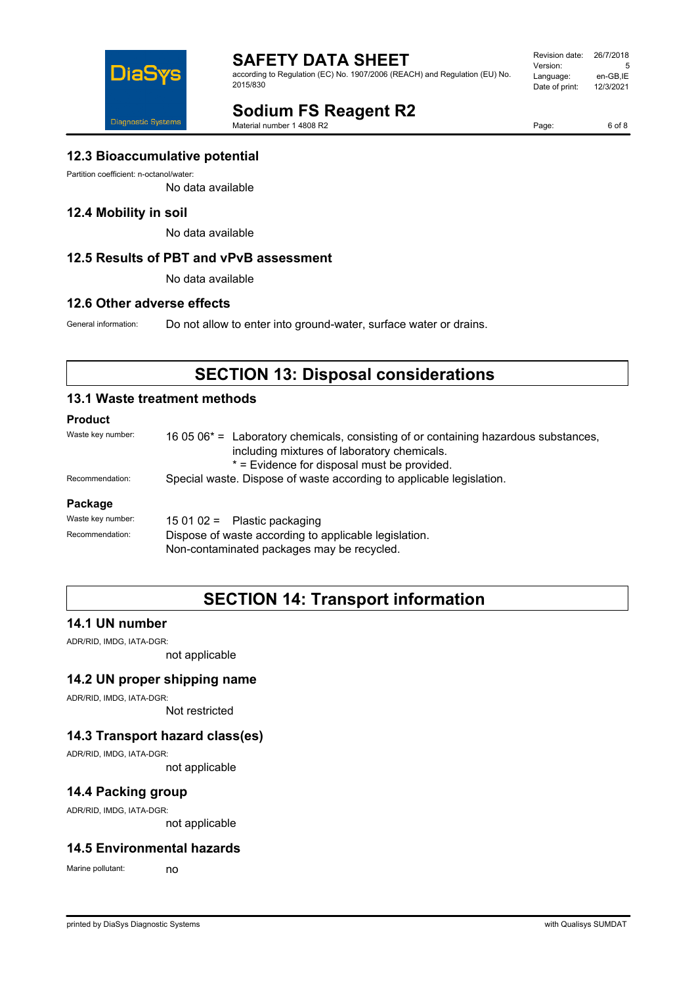

according to Regulation (EC) No. 1907/2006 (REACH) and Regulation (EU) No. 2015/830

| Revision date: | 26/7/2018 |
|----------------|-----------|
| Version:       | 5         |
| Language:      | en-GB,IE  |
| Date of print: | 12/3/2021 |
|                |           |

# **Sodium FS Reagent R2**

Material number 1 4808 R2

Page: 6 of 8

### **12.3 Bioaccumulative potential**

Partition coefficient: n-octanol/water:

No data available

### **12.4 Mobility in soil**

No data available

### **12.5 Results of PBT and vPvB assessment**

No data available

### **12.6 Other adverse effects**

General information: Do not allow to enter into ground-water, surface water or drains.

# **SECTION 13: Disposal considerations**

### **13.1 Waste treatment methods**

### **Product**

| Waste key number: | 16 05 06 <sup>*</sup> = Laboratory chemicals, consisting of or containing hazardous substances,<br>including mixtures of laboratory chemicals.<br>* = Evidence for disposal must be provided. |  |
|-------------------|-----------------------------------------------------------------------------------------------------------------------------------------------------------------------------------------------|--|
| Recommendation:   | Special waste. Dispose of waste according to applicable legislation.                                                                                                                          |  |
| Package           |                                                                                                                                                                                               |  |
| Waste key number: | $150102 =$ Plastic packaging                                                                                                                                                                  |  |
| Recommendation:   | Dispose of waste according to applicable legislation.                                                                                                                                         |  |

Non-contaminated packages may be recycled.

# **SECTION 14: Transport information**

### **14.1 UN number**

ADR/RID, IMDG, IATA-DGR:

not applicable

### **14.2 UN proper shipping name**

ADR/RID, IMDG, IATA-DGR:

Not restricted

### **14.3 Transport hazard class(es)**

ADR/RID, IMDG, IATA-DGR:

not applicable

### **14.4 Packing group**

ADR/RID, IMDG, IATA-DGR:

not applicable

### **14.5 Environmental hazards**

Marine pollutant: no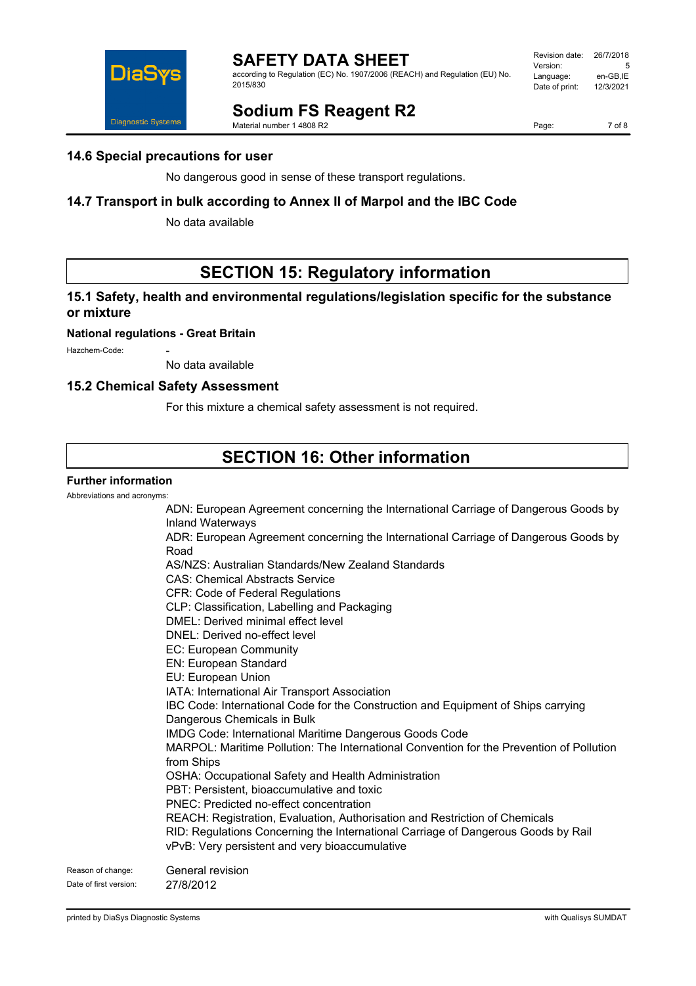

according to Regulation (EC) No. 1907/2006 (REACH) and Regulation (EU) No. 2015/830

| Revision date: | 26/7/2018 |
|----------------|-----------|
| Version:       | 5         |
| Language:      | en-GB,IE  |
| Date of print: | 12/3/2021 |
|                |           |

# **Sodium FS Reagent R2**

Material number 1 4808 R2

Page: 7 of 8

### **14.6 Special precautions for user**

No dangerous good in sense of these transport regulations.

## **14.7 Transport in bulk according to Annex II of Marpol and the IBC Code**

No data available

# **SECTION 15: Regulatory information**

### **15.1 Safety, health and environmental regulations/legislation specific for the substance or mixture**

### **National regulations - Great Britain**

Hazchem-Code:

No data available

### **15.2 Chemical Safety Assessment**

For this mixture a chemical safety assessment is not required.

# **SECTION 16: Other information**

### **Further information**

Abbreviations and acronyms:

ADN: European Agreement concerning the International Carriage of Dangerous Goods by Inland Waterways ADR: European Agreement concerning the International Carriage of Dangerous Goods by Road AS/NZS: Australian Standards/New Zealand Standards CAS: Chemical Abstracts Service CFR: Code of Federal Regulations CLP: Classification, Labelling and Packaging DMEL: Derived minimal effect level DNEL: Derived no-effect level EC: European Community EN: European Standard EU: European Union IATA: International Air Transport Association IBC Code: International Code for the Construction and Equipment of Ships carrying Dangerous Chemicals in Bulk IMDG Code: International Maritime Dangerous Goods Code MARPOL: Maritime Pollution: The International Convention for the Prevention of Pollution from Ships OSHA: Occupational Safety and Health Administration PBT: Persistent, bioaccumulative and toxic PNEC: Predicted no-effect concentration REACH: Registration, Evaluation, Authorisation and Restriction of Chemicals RID: Regulations Concerning the International Carriage of Dangerous Goods by Rail vPvB: Very persistent and very bioaccumulative Reason of change: General revision Date of first version: 27/8/2012

printed by DiaSys Diagnostic Systems with Qualisys SUMDAT